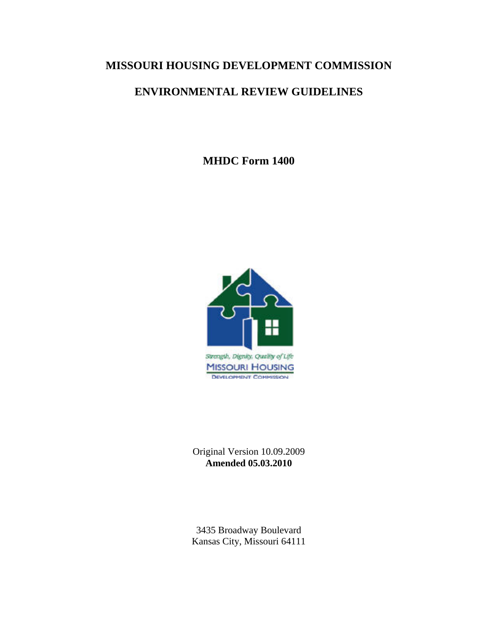## **MISSOURI HOUSING DEVELOPMENT COMMISSION**

## **ENVIRONMENTAL REVIEW GUIDELINES**

**MHDC Form 1400** 



Original Version 10.09.2009 **Amended 05.03.2010** 

3435 Broadway Boulevard Kansas City, Missouri 64111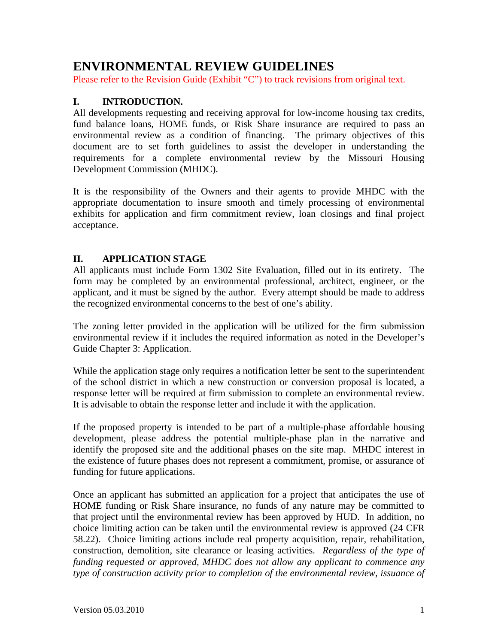## **ENVIRONMENTAL REVIEW GUIDELINES**

Please refer to the Revision Guide (Exhibit "C") to track revisions from original text.

#### **I. INTRODUCTION.**

All developments requesting and receiving approval for low-income housing tax credits, fund balance loans, HOME funds, or Risk Share insurance are required to pass an environmental review as a condition of financing. The primary objectives of this document are to set forth guidelines to assist the developer in understanding the requirements for a complete environmental review by the Missouri Housing Development Commission (MHDC).

It is the responsibility of the Owners and their agents to provide MHDC with the appropriate documentation to insure smooth and timely processing of environmental exhibits for application and firm commitment review, loan closings and final project acceptance.

#### **II. APPLICATION STAGE**

All applicants must include Form 1302 Site Evaluation, filled out in its entirety. The form may be completed by an environmental professional, architect, engineer, or the applicant, and it must be signed by the author. Every attempt should be made to address the recognized environmental concerns to the best of one's ability.

The zoning letter provided in the application will be utilized for the firm submission environmental review if it includes the required information as noted in the Developer's Guide Chapter 3: Application.

While the application stage only requires a notification letter be sent to the superintendent of the school district in which a new construction or conversion proposal is located, a response letter will be required at firm submission to complete an environmental review. It is advisable to obtain the response letter and include it with the application.

If the proposed property is intended to be part of a multiple-phase affordable housing development, please address the potential multiple-phase plan in the narrative and identify the proposed site and the additional phases on the site map. MHDC interest in the existence of future phases does not represent a commitment, promise, or assurance of funding for future applications.

Once an applicant has submitted an application for a project that anticipates the use of HOME funding or Risk Share insurance, no funds of any nature may be committed to that project until the environmental review has been approved by HUD. In addition, no choice limiting action can be taken until the environmental review is approved (24 CFR 58.22). Choice limiting actions include real property acquisition, repair, rehabilitation, construction, demolition, site clearance or leasing activities. *Regardless of the type of funding requested or approved, MHDC does not allow any applicant to commence any type of construction activity prior to completion of the environmental review, issuance of*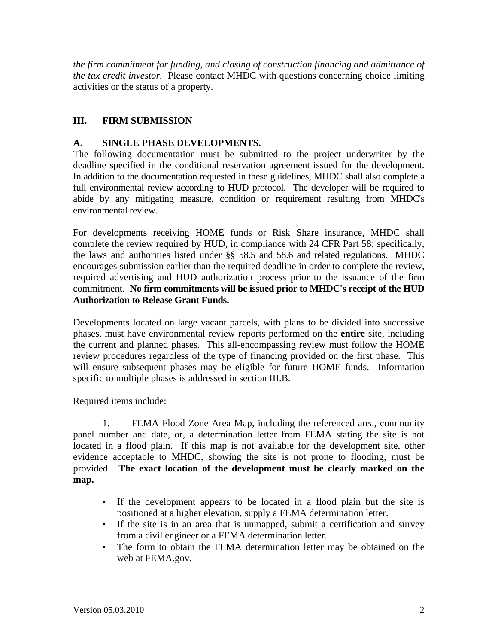*the firm commitment for funding, and closing of construction financing and admittance of the tax credit investor.* Please contact MHDC with questions concerning choice limiting activities or the status of a property.

## **III. FIRM SUBMISSION**

#### **A. SINGLE PHASE DEVELOPMENTS.**

The following documentation must be submitted to the project underwriter by the deadline specified in the conditional reservation agreement issued for the development. In addition to the documentation requested in these guidelines, MHDC shall also complete a full environmental review according to HUD protocol. The developer will be required to abide by any mitigating measure, condition or requirement resulting from MHDC's environmental review.

For developments receiving HOME funds or Risk Share insurance, MHDC shall complete the review required by HUD, in compliance with 24 CFR Part 58; specifically, the laws and authorities listed under §§ 58.5 and 58.6 and related regulations. MHDC encourages submission earlier than the required deadline in order to complete the review, required advertising and HUD authorization process prior to the issuance of the firm commitment. **No firm commitments will be issued prior to MHDC's receipt of the HUD Authorization to Release Grant Funds.**

Developments located on large vacant parcels, with plans to be divided into successive phases, must have environmental review reports performed on the **entire** site, including the current and planned phases. This all-encompassing review must follow the HOME review procedures regardless of the type of financing provided on the first phase. This will ensure subsequent phases may be eligible for future HOME funds. Information specific to multiple phases is addressed in section III.B.

Required items include:

1. FEMA Flood Zone Area Map, including the referenced area, community panel number and date, or, a determination letter from FEMA stating the site is not located in a flood plain. If this map is not available for the development site, other evidence acceptable to MHDC, showing the site is not prone to flooding, must be provided. **The exact location of the development must be clearly marked on the map.**

- If the development appears to be located in a flood plain but the site is positioned at a higher elevation, supply a FEMA determination letter.
- If the site is in an area that is unmapped, submit a certification and survey from a civil engineer or a FEMA determination letter.
- The form to obtain the FEMA determination letter may be obtained on the web at FEMA.gov.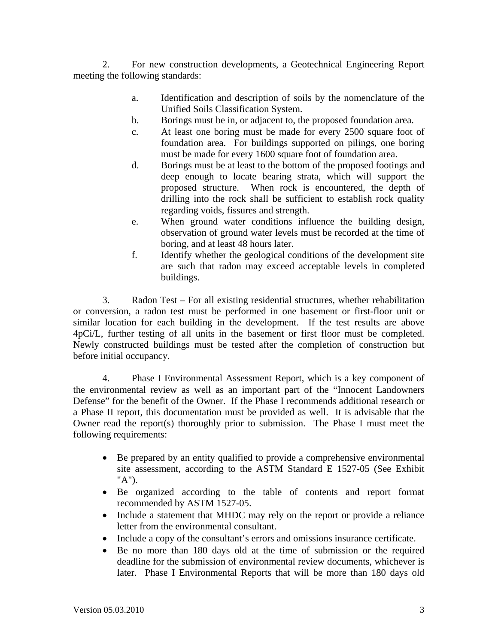2. For new construction developments, a Geotechnical Engineering Report meeting the following standards:

- a. Identification and description of soils by the nomenclature of the Unified Soils Classification System.
- b. Borings must be in, or adjacent to, the proposed foundation area.
- c. At least one boring must be made for every 2500 square foot of foundation area. For buildings supported on pilings, one boring must be made for every 1600 square foot of foundation area.
- d. Borings must be at least to the bottom of the proposed footings and deep enough to locate bearing strata, which will support the proposed structure. When rock is encountered, the depth of drilling into the rock shall be sufficient to establish rock quality regarding voids, fissures and strength.
- e. When ground water conditions influence the building design, observation of ground water levels must be recorded at the time of boring, and at least 48 hours later.
- f. Identify whether the geological conditions of the development site are such that radon may exceed acceptable levels in completed buildings.

3. Radon Test – For all existing residential structures, whether rehabilitation or conversion, a radon test must be performed in one basement or first-floor unit or similar location for each building in the development. If the test results are above 4pCi/L, further testing of all units in the basement or first floor must be completed. Newly constructed buildings must be tested after the completion of construction but before initial occupancy.

4. Phase I Environmental Assessment Report, which is a key component of the environmental review as well as an important part of the "Innocent Landowners Defense" for the benefit of the Owner. If the Phase I recommends additional research or a Phase II report, this documentation must be provided as well. It is advisable that the Owner read the report(s) thoroughly prior to submission. The Phase I must meet the following requirements:

- Be prepared by an entity qualified to provide a comprehensive environmental site assessment, according to the ASTM Standard E 1527-05 (See Exhibit "A").
- Be organized according to the table of contents and report format recommended by ASTM 1527-05.
- Include a statement that MHDC may rely on the report or provide a reliance letter from the environmental consultant.
- Include a copy of the consultant's errors and omissions insurance certificate.
- Be no more than 180 days old at the time of submission or the required deadline for the submission of environmental review documents, whichever is later. Phase I Environmental Reports that will be more than 180 days old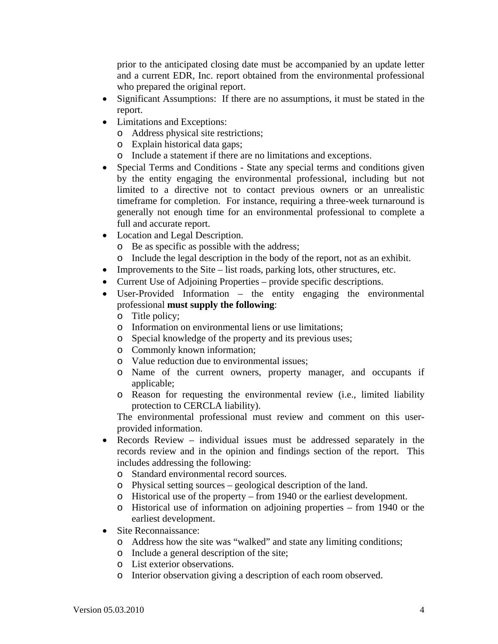prior to the anticipated closing date must be accompanied by an update letter and a current EDR, Inc. report obtained from the environmental professional who prepared the original report.

- Significant Assumptions: If there are no assumptions, it must be stated in the report.
- Limitations and Exceptions:
	- o Address physical site restrictions;
	- o Explain historical data gaps;
	- o Include a statement if there are no limitations and exceptions.
- Special Terms and Conditions State any special terms and conditions given by the entity engaging the environmental professional, including but not limited to a directive not to contact previous owners or an unrealistic timeframe for completion. For instance, requiring a three-week turnaround is generally not enough time for an environmental professional to complete a full and accurate report.
- Location and Legal Description.
	- o Be as specific as possible with the address;
	- o Include the legal description in the body of the report, not as an exhibit.
- Improvements to the Site list roads, parking lots, other structures, etc.
- Current Use of Adjoining Properties provide specific descriptions.
- User-Provided Information the entity engaging the environmental professional **must supply the following**:
	- o Title policy;
	- o Information on environmental liens or use limitations;
	- o Special knowledge of the property and its previous uses;
	- o Commonly known information;
	- o Value reduction due to environmental issues;
	- o Name of the current owners, property manager, and occupants if applicable;
	- o Reason for requesting the environmental review (i.e., limited liability protection to CERCLA liability).

The environmental professional must review and comment on this userprovided information.

- Records Review individual issues must be addressed separately in the records review and in the opinion and findings section of the report. This includes addressing the following:
	- o Standard environmental record sources.
	- o Physical setting sources geological description of the land.
	- o Historical use of the property from 1940 or the earliest development.
	- o Historical use of information on adjoining properties from 1940 or the earliest development.
- Site Reconnaissance:
	- o Address how the site was "walked" and state any limiting conditions;
	- o Include a general description of the site;
	- o List exterior observations.
	- o Interior observation giving a description of each room observed.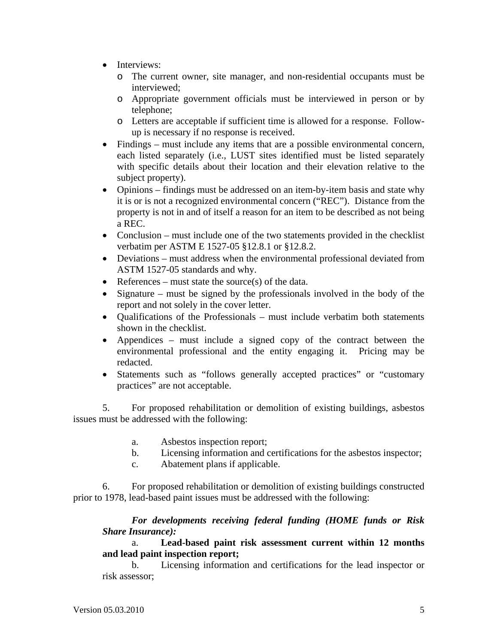- Interviews:
	- o The current owner, site manager, and non-residential occupants must be interviewed;
	- o Appropriate government officials must be interviewed in person or by telephone;
	- o Letters are acceptable if sufficient time is allowed for a response. Followup is necessary if no response is received.
- Findings must include any items that are a possible environmental concern, each listed separately (i.e., LUST sites identified must be listed separately with specific details about their location and their elevation relative to the subject property).
- Opinions findings must be addressed on an item-by-item basis and state why it is or is not a recognized environmental concern ("REC"). Distance from the property is not in and of itself a reason for an item to be described as not being a REC.
- Conclusion must include one of the two statements provided in the checklist verbatim per ASTM E 1527-05 §12.8.1 or §12.8.2.
- Deviations must address when the environmental professional deviated from ASTM 1527-05 standards and why.
- References must state the source(s) of the data.
- Signature must be signed by the professionals involved in the body of the report and not solely in the cover letter.
- Qualifications of the Professionals must include verbatim both statements shown in the checklist.
- Appendices must include a signed copy of the contract between the environmental professional and the entity engaging it. Pricing may be redacted.
- Statements such as "follows generally accepted practices" or "customary practices" are not acceptable.

5. For proposed rehabilitation or demolition of existing buildings, asbestos issues must be addressed with the following:

- a. Asbestos inspection report;
- b. Licensing information and certifications for the asbestos inspector;
- c. Abatement plans if applicable.

6. For proposed rehabilitation or demolition of existing buildings constructed prior to 1978, lead-based paint issues must be addressed with the following:

#### *For developments receiving federal funding (HOME funds or Risk Share Insurance):*

 a. **Lead-based paint risk assessment current within 12 months and lead paint inspection report;** 

b. Licensing information and certifications for the lead inspector or risk assessor;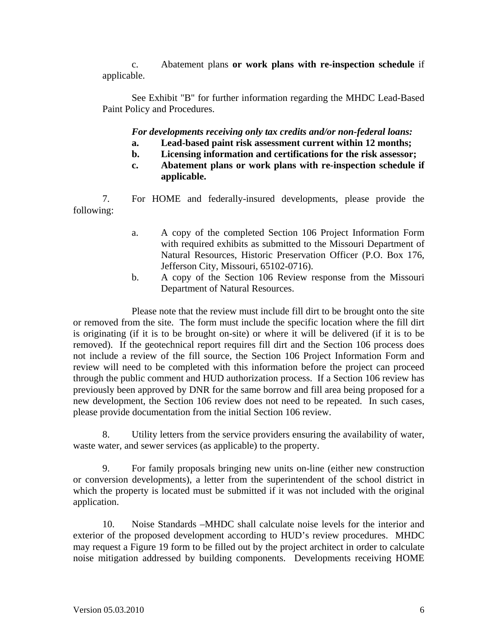c. Abatement plans **or work plans with re-inspection schedule** if applicable.

 See Exhibit "B" for further information regarding the MHDC Lead-Based Paint Policy and Procedures.

*For developments receiving only tax credits and/or non-federal loans:* 

- **a. Lead-based paint risk assessment current within 12 months;**
- **b. Licensing information and certifications for the risk assessor;**
- **c. Abatement plans or work plans with re-inspection schedule if applicable.**

7. For HOME and federally-insured developments, please provide the following:

- a. A copy of the completed Section 106 Project Information Form with required exhibits as submitted to the Missouri Department of Natural Resources, Historic Preservation Officer (P.O. Box 176, Jefferson City, Missouri, 65102-0716).
- b. A copy of the Section 106 Review response from the Missouri Department of Natural Resources.

Please note that the review must include fill dirt to be brought onto the site or removed from the site. The form must include the specific location where the fill dirt is originating (if it is to be brought on-site) or where it will be delivered (if it is to be removed). If the geotechnical report requires fill dirt and the Section 106 process does not include a review of the fill source, the Section 106 Project Information Form and review will need to be completed with this information before the project can proceed through the public comment and HUD authorization process. If a Section 106 review has previously been approved by DNR for the same borrow and fill area being proposed for a new development, the Section 106 review does not need to be repeated. In such cases, please provide documentation from the initial Section 106 review.

8. Utility letters from the service providers ensuring the availability of water, waste water, and sewer services (as applicable) to the property.

9. For family proposals bringing new units on-line (either new construction or conversion developments), a letter from the superintendent of the school district in which the property is located must be submitted if it was not included with the original application.

10. Noise Standards –MHDC shall calculate noise levels for the interior and exterior of the proposed development according to HUD's review procedures. MHDC may request a Figure 19 form to be filled out by the project architect in order to calculate noise mitigation addressed by building components. Developments receiving HOME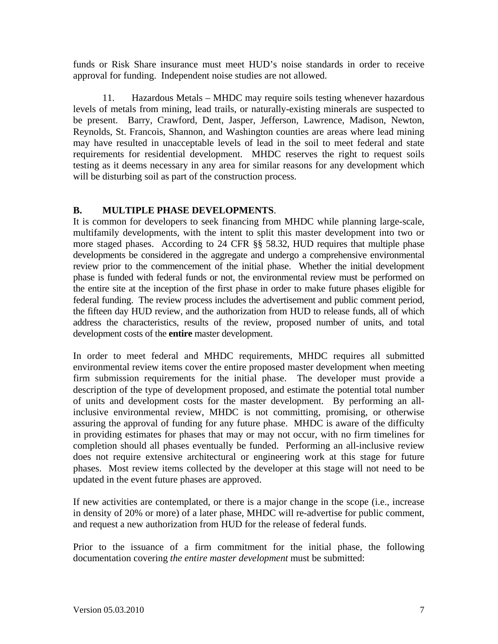funds or Risk Share insurance must meet HUD's noise standards in order to receive approval for funding. Independent noise studies are not allowed.

11. Hazardous Metals – MHDC may require soils testing whenever hazardous levels of metals from mining, lead trails, or naturally-existing minerals are suspected to be present. Barry, Crawford, Dent, Jasper, Jefferson, Lawrence, Madison, Newton, Reynolds, St. Francois, Shannon, and Washington counties are areas where lead mining may have resulted in unacceptable levels of lead in the soil to meet federal and state requirements for residential development. MHDC reserves the right to request soils testing as it deems necessary in any area for similar reasons for any development which will be disturbing soil as part of the construction process.

#### **B. MULTIPLE PHASE DEVELOPMENTS**.

It is common for developers to seek financing from MHDC while planning large-scale, multifamily developments, with the intent to split this master development into two or more staged phases. According to 24 CFR §§ 58.32, HUD requires that multiple phase developments be considered in the aggregate and undergo a comprehensive environmental review prior to the commencement of the initial phase. Whether the initial development phase is funded with federal funds or not, the environmental review must be performed on the entire site at the inception of the first phase in order to make future phases eligible for federal funding. The review process includes the advertisement and public comment period, the fifteen day HUD review, and the authorization from HUD to release funds, all of which address the characteristics, results of the review, proposed number of units, and total development costs of the **entire** master development.

In order to meet federal and MHDC requirements, MHDC requires all submitted environmental review items cover the entire proposed master development when meeting firm submission requirements for the initial phase. The developer must provide a description of the type of development proposed, and estimate the potential total number of units and development costs for the master development. By performing an allinclusive environmental review, MHDC is not committing, promising, or otherwise assuring the approval of funding for any future phase. MHDC is aware of the difficulty in providing estimates for phases that may or may not occur, with no firm timelines for completion should all phases eventually be funded. Performing an all-inclusive review does not require extensive architectural or engineering work at this stage for future phases. Most review items collected by the developer at this stage will not need to be updated in the event future phases are approved.

If new activities are contemplated, or there is a major change in the scope (i.e., increase in density of 20% or more) of a later phase, MHDC will re-advertise for public comment, and request a new authorization from HUD for the release of federal funds.

Prior to the issuance of a firm commitment for the initial phase, the following documentation covering *the entire master development* must be submitted: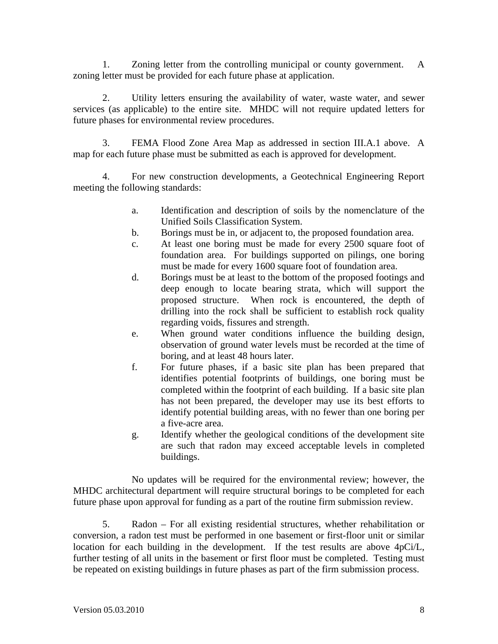1. Zoning letter from the controlling municipal or county government. A zoning letter must be provided for each future phase at application.

 2. Utility letters ensuring the availability of water, waste water, and sewer services (as applicable) to the entire site. MHDC will not require updated letters for future phases for environmental review procedures.

 3. FEMA Flood Zone Area Map as addressed in section III.A.1 above. A map for each future phase must be submitted as each is approved for development.

 4. For new construction developments, a Geotechnical Engineering Report meeting the following standards:

- a. Identification and description of soils by the nomenclature of the Unified Soils Classification System.
- b. Borings must be in, or adjacent to, the proposed foundation area.
- c. At least one boring must be made for every 2500 square foot of foundation area. For buildings supported on pilings, one boring must be made for every 1600 square foot of foundation area.
- d. Borings must be at least to the bottom of the proposed footings and deep enough to locate bearing strata, which will support the proposed structure. When rock is encountered, the depth of drilling into the rock shall be sufficient to establish rock quality regarding voids, fissures and strength.
- e. When ground water conditions influence the building design, observation of ground water levels must be recorded at the time of boring, and at least 48 hours later.
- f. For future phases, if a basic site plan has been prepared that identifies potential footprints of buildings, one boring must be completed within the footprint of each building. If a basic site plan has not been prepared, the developer may use its best efforts to identify potential building areas, with no fewer than one boring per a five-acre area.
- g. Identify whether the geological conditions of the development site are such that radon may exceed acceptable levels in completed buildings.

No updates will be required for the environmental review; however, the MHDC architectural department will require structural borings to be completed for each future phase upon approval for funding as a part of the routine firm submission review.

5. Radon – For all existing residential structures, whether rehabilitation or conversion, a radon test must be performed in one basement or first-floor unit or similar location for each building in the development. If the test results are above 4pCi/L, further testing of all units in the basement or first floor must be completed. Testing must be repeated on existing buildings in future phases as part of the firm submission process.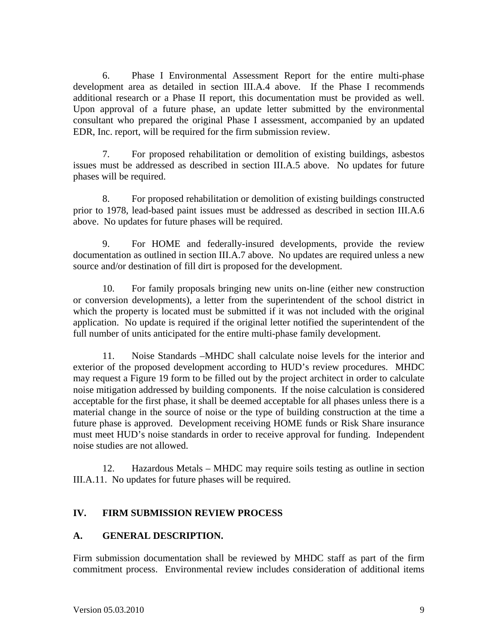6. Phase I Environmental Assessment Report for the entire multi-phase development area as detailed in section III.A.4 above. If the Phase I recommends additional research or a Phase II report, this documentation must be provided as well. Upon approval of a future phase, an update letter submitted by the environmental consultant who prepared the original Phase I assessment, accompanied by an updated EDR, Inc. report, will be required for the firm submission review.

7. For proposed rehabilitation or demolition of existing buildings, asbestos issues must be addressed as described in section III.A.5 above. No updates for future phases will be required.

8. For proposed rehabilitation or demolition of existing buildings constructed prior to 1978, lead-based paint issues must be addressed as described in section III.A.6 above. No updates for future phases will be required.

9. For HOME and federally-insured developments, provide the review documentation as outlined in section III.A.7 above. No updates are required unless a new source and/or destination of fill dirt is proposed for the development.

10. For family proposals bringing new units on-line (either new construction or conversion developments), a letter from the superintendent of the school district in which the property is located must be submitted if it was not included with the original application. No update is required if the original letter notified the superintendent of the full number of units anticipated for the entire multi-phase family development.

11. Noise Standards –MHDC shall calculate noise levels for the interior and exterior of the proposed development according to HUD's review procedures. MHDC may request a Figure 19 form to be filled out by the project architect in order to calculate noise mitigation addressed by building components. If the noise calculation is considered acceptable for the first phase, it shall be deemed acceptable for all phases unless there is a material change in the source of noise or the type of building construction at the time a future phase is approved. Development receiving HOME funds or Risk Share insurance must meet HUD's noise standards in order to receive approval for funding. Independent noise studies are not allowed.

12. Hazardous Metals – MHDC may require soils testing as outline in section III.A.11. No updates for future phases will be required.

#### **IV. FIRM SUBMISSION REVIEW PROCESS**

#### **A. GENERAL DESCRIPTION.**

Firm submission documentation shall be reviewed by MHDC staff as part of the firm commitment process. Environmental review includes consideration of additional items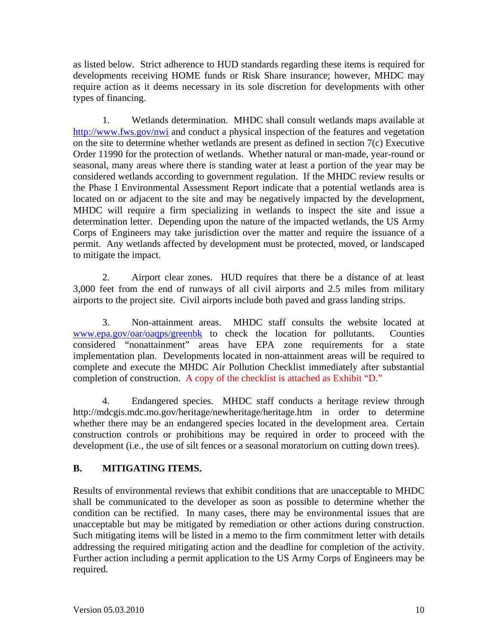as listed below. Strict adherence to HUD standards regarding these items is required for developments receiving HOME funds or Risk Share insurance; however, MHDC may require action as it deems necessary in its sole discretion for developments with other types of financing.

 1. Wetlands determination. MHDC shall consult wetlands maps available at http://www.fws.gov/nwi and conduct a physical inspection of the features and vegetation on the site to determine whether wetlands are present as defined in section 7(c) Executive Order 11990 for the protection of wetlands. Whether natural or man-made, year-round or seasonal, many areas where there is standing water at least a portion of the year may be considered wetlands according to government regulation. If the MHDC review results or the Phase I Environmental Assessment Report indicate that a potential wetlands area is located on or adjacent to the site and may be negatively impacted by the development, MHDC will require a firm specializing in wetlands to inspect the site and issue a determination letter. Depending upon the nature of the impacted wetlands, the US Army Corps of Engineers may take jurisdiction over the matter and require the issuance of a permit. Any wetlands affected by development must be protected, moved, or landscaped to mitigate the impact.

 2. Airport clear zones. HUD requires that there be a distance of at least 3,000 feet from the end of runways of all civil airports and 2.5 miles from military airports to the project site. Civil airports include both paved and grass landing strips.

 3. Non-attainment areas. MHDC staff consults the website located at www.epa.gov/oar/oaqps/greenbk to check the location for pollutants. Counties considered "nonattainment" areas have EPA zone requirements for a state implementation plan. Developments located in non-attainment areas will be required to complete and execute the MHDC Air Pollution Checklist immediately after substantial completion of construction. A copy of the checklist is attached as Exhibit "D."

 4. Endangered species. MHDC staff conducts a heritage review through http://mdcgis.mdc.mo.gov/heritage/newheritage/heritage.htm in order to determine whether there may be an endangered species located in the development area. Certain construction controls or prohibitions may be required in order to proceed with the development (i.e., the use of silt fences or a seasonal moratorium on cutting down trees).

#### **B. MITIGATING ITEMS.**

Results of environmental reviews that exhibit conditions that are unacceptable to MHDC shall be communicated to the developer as soon as possible to determine whether the condition can be rectified. In many cases, there may be environmental issues that are unacceptable but may be mitigated by remediation or other actions during construction. Such mitigating items will be listed in a memo to the firm commitment letter with details addressing the required mitigating action and the deadline for completion of the activity. Further action including a permit application to the US Army Corps of Engineers may be required.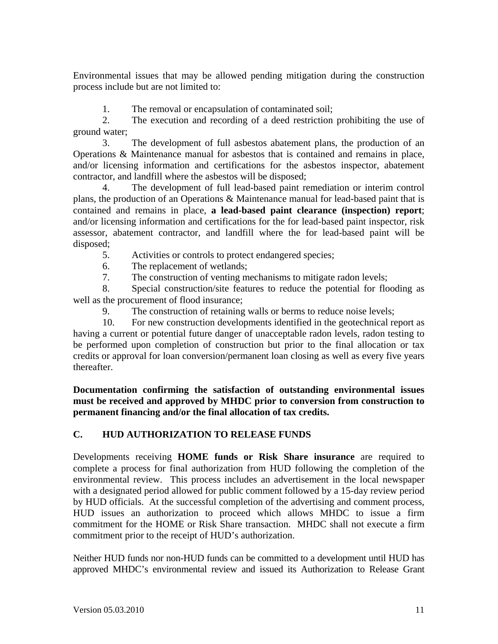Environmental issues that may be allowed pending mitigation during the construction process include but are not limited to:

1. The removal or encapsulation of contaminated soil;

 2. The execution and recording of a deed restriction prohibiting the use of ground water;

 3. The development of full asbestos abatement plans, the production of an Operations & Maintenance manual for asbestos that is contained and remains in place, and/or licensing information and certifications for the asbestos inspector, abatement contractor, and landfill where the asbestos will be disposed;

 4. The development of full lead-based paint remediation or interim control plans, the production of an Operations & Maintenance manual for lead-based paint that is contained and remains in place, **a lead-based paint clearance (inspection) report**; and/or licensing information and certifications for the for lead-based paint inspector, risk assessor, abatement contractor, and landfill where the for lead-based paint will be disposed;

5. Activities or controls to protect endangered species;

6. The replacement of wetlands;

7. The construction of venting mechanisms to mitigate radon levels;

 8. Special construction/site features to reduce the potential for flooding as well as the procurement of flood insurance;

9. The construction of retaining walls or berms to reduce noise levels;

 10. For new construction developments identified in the geotechnical report as having a current or potential future danger of unacceptable radon levels, radon testing to be performed upon completion of construction but prior to the final allocation or tax credits or approval for loan conversion/permanent loan closing as well as every five years thereafter.

**Documentation confirming the satisfaction of outstanding environmental issues must be received and approved by MHDC prior to conversion from construction to permanent financing and/or the final allocation of tax credits.** 

## **C. HUD AUTHORIZATION TO RELEASE FUNDS**

Developments receiving **HOME funds or Risk Share insurance** are required to complete a process for final authorization from HUD following the completion of the environmental review. This process includes an advertisement in the local newspaper with a designated period allowed for public comment followed by a 15-day review period by HUD officials. At the successful completion of the advertising and comment process, HUD issues an authorization to proceed which allows MHDC to issue a firm commitment for the HOME or Risk Share transaction. MHDC shall not execute a firm commitment prior to the receipt of HUD's authorization.

Neither HUD funds nor non-HUD funds can be committed to a development until HUD has approved MHDC's environmental review and issued its Authorization to Release Grant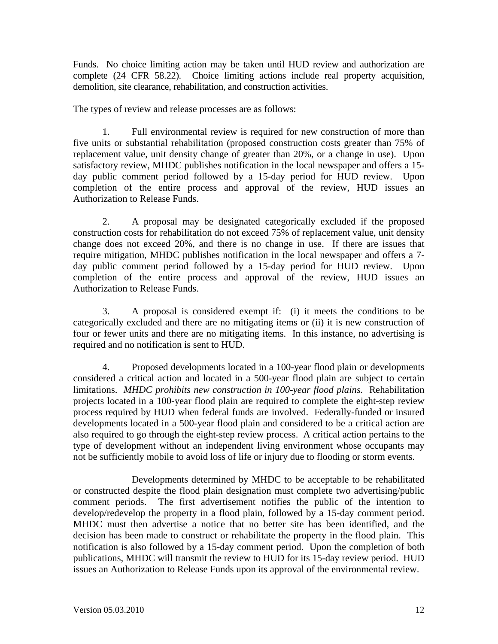Funds. No choice limiting action may be taken until HUD review and authorization are complete (24 CFR 58.22). Choice limiting actions include real property acquisition, demolition, site clearance, rehabilitation, and construction activities.

The types of review and release processes are as follows:

 1. Full environmental review is required for new construction of more than five units or substantial rehabilitation (proposed construction costs greater than 75% of replacement value, unit density change of greater than 20%, or a change in use). Upon satisfactory review, MHDC publishes notification in the local newspaper and offers a 15 day public comment period followed by a 15-day period for HUD review. Upon completion of the entire process and approval of the review, HUD issues an Authorization to Release Funds.

 2. A proposal may be designated categorically excluded if the proposed construction costs for rehabilitation do not exceed 75% of replacement value, unit density change does not exceed 20%, and there is no change in use. If there are issues that require mitigation, MHDC publishes notification in the local newspaper and offers a 7 day public comment period followed by a 15-day period for HUD review. Upon completion of the entire process and approval of the review, HUD issues an Authorization to Release Funds.

 3. A proposal is considered exempt if: (i) it meets the conditions to be categorically excluded and there are no mitigating items or (ii) it is new construction of four or fewer units and there are no mitigating items. In this instance, no advertising is required and no notification is sent to HUD.

 4. Proposed developments located in a 100-year flood plain or developments considered a critical action and located in a 500-year flood plain are subject to certain limitations. *MHDC prohibits new construction in 100-year flood plains.* Rehabilitation projects located in a 100-year flood plain are required to complete the eight-step review process required by HUD when federal funds are involved. Federally-funded or insured developments located in a 500-year flood plain and considered to be a critical action are also required to go through the eight-step review process. A critical action pertains to the type of development without an independent living environment whose occupants may not be sufficiently mobile to avoid loss of life or injury due to flooding or storm events.

 Developments determined by MHDC to be acceptable to be rehabilitated or constructed despite the flood plain designation must complete two advertising/public comment periods. The first advertisement notifies the public of the intention to develop/redevelop the property in a flood plain, followed by a 15-day comment period. MHDC must then advertise a notice that no better site has been identified, and the decision has been made to construct or rehabilitate the property in the flood plain. This notification is also followed by a 15-day comment period. Upon the completion of both publications, MHDC will transmit the review to HUD for its 15-day review period. HUD issues an Authorization to Release Funds upon its approval of the environmental review.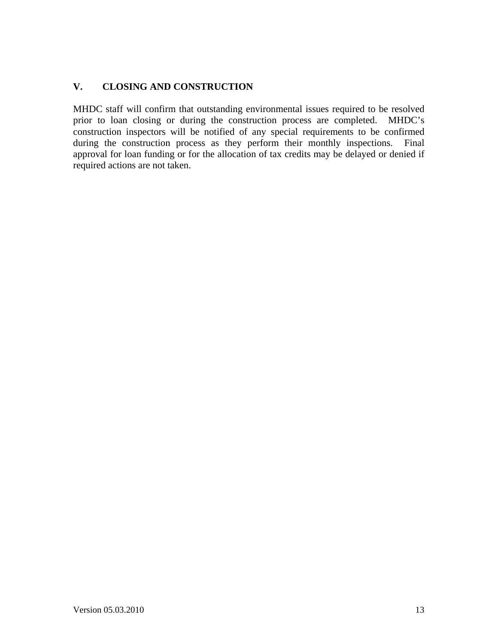### **V. CLOSING AND CONSTRUCTION**

MHDC staff will confirm that outstanding environmental issues required to be resolved prior to loan closing or during the construction process are completed. MHDC's construction inspectors will be notified of any special requirements to be confirmed during the construction process as they perform their monthly inspections. Final approval for loan funding or for the allocation of tax credits may be delayed or denied if required actions are not taken.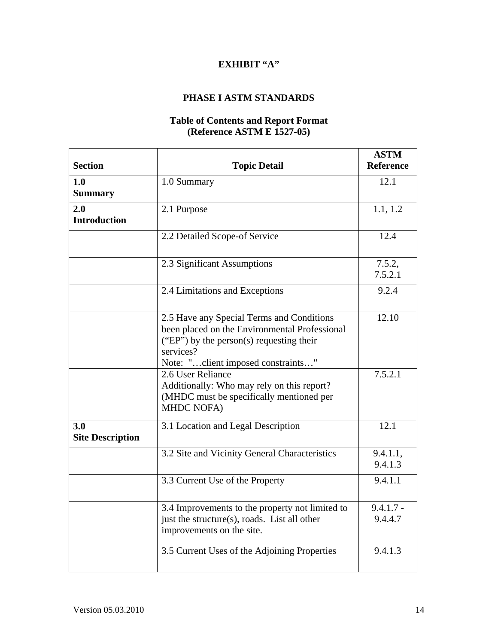### **PHASE I ASTM STANDARDS**

#### **Table of Contents and Report Format (Reference ASTM E 1527-05)**

| <b>Section</b>                 | <b>Topic Detail</b>                                                                                                                                                                       | <b>ASTM</b><br><b>Reference</b> |
|--------------------------------|-------------------------------------------------------------------------------------------------------------------------------------------------------------------------------------------|---------------------------------|
| 1.0<br><b>Summary</b>          | 1.0 Summary                                                                                                                                                                               | 12.1                            |
| 2.0<br><b>Introduction</b>     | 2.1 Purpose                                                                                                                                                                               | 1.1, 1.2                        |
|                                | 2.2 Detailed Scope-of Service                                                                                                                                                             | 12.4                            |
|                                | 2.3 Significant Assumptions                                                                                                                                                               | 7.5.2,<br>7.5.2.1               |
|                                | 2.4 Limitations and Exceptions                                                                                                                                                            | 9.2.4                           |
|                                | 2.5 Have any Special Terms and Conditions<br>been placed on the Environmental Professional<br>("EP") by the person(s) requesting their<br>services?<br>Note: "client imposed constraints" | 12.10                           |
|                                | 2.6 User Reliance<br>Additionally: Who may rely on this report?<br>(MHDC must be specifically mentioned per<br><b>MHDC NOFA)</b>                                                          | 7.5.2.1                         |
| 3.0<br><b>Site Description</b> | 3.1 Location and Legal Description                                                                                                                                                        | 12.1                            |
|                                | 3.2 Site and Vicinity General Characteristics                                                                                                                                             | 9.4.1.1,<br>9.4.1.3             |
|                                | 3.3 Current Use of the Property                                                                                                                                                           | 9.4.1.1                         |
|                                | 3.4 Improvements to the property not limited to<br>just the structure(s), roads. List all other<br>improvements on the site.                                                              | $9.4.1.7 -$<br>9.4.4.7          |
|                                | 3.5 Current Uses of the Adjoining Properties                                                                                                                                              | 9.4.1.3                         |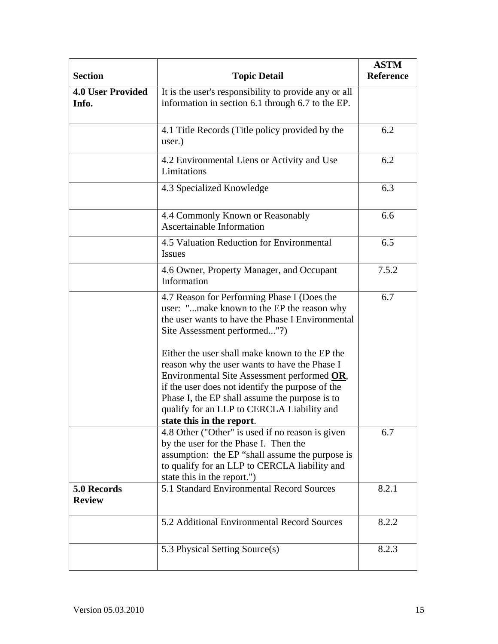| <b>Section</b>                    | <b>Topic Detail</b>                                                                                                                                                                                                                                                                                                             | <b>ASTM</b><br>Reference |
|-----------------------------------|---------------------------------------------------------------------------------------------------------------------------------------------------------------------------------------------------------------------------------------------------------------------------------------------------------------------------------|--------------------------|
| <b>4.0 User Provided</b><br>Info. | It is the user's responsibility to provide any or all<br>information in section 6.1 through 6.7 to the EP.                                                                                                                                                                                                                      |                          |
|                                   | 4.1 Title Records (Title policy provided by the<br>user.)                                                                                                                                                                                                                                                                       | 6.2                      |
|                                   | 4.2 Environmental Liens or Activity and Use<br>Limitations                                                                                                                                                                                                                                                                      | 6.2                      |
|                                   | 4.3 Specialized Knowledge                                                                                                                                                                                                                                                                                                       | 6.3                      |
|                                   | 4.4 Commonly Known or Reasonably<br><b>Ascertainable Information</b>                                                                                                                                                                                                                                                            | 6.6                      |
|                                   | 4.5 Valuation Reduction for Environmental<br><b>Issues</b>                                                                                                                                                                                                                                                                      | 6.5                      |
|                                   | 4.6 Owner, Property Manager, and Occupant<br>Information                                                                                                                                                                                                                                                                        | 7.5.2                    |
|                                   | 4.7 Reason for Performing Phase I (Does the<br>user: "make known to the EP the reason why<br>the user wants to have the Phase I Environmental<br>Site Assessment performed"?)                                                                                                                                                   | 6.7                      |
|                                   | Either the user shall make known to the EP the<br>reason why the user wants to have the Phase I<br>Environmental Site Assessment performed OR,<br>if the user does not identify the purpose of the<br>Phase I, the EP shall assume the purpose is to<br>qualify for an LLP to CERCLA Liability and<br>state this in the report. |                          |
|                                   | 4.8 Other ("Other" is used if no reason is given<br>by the user for the Phase I. Then the<br>assumption: the EP "shall assume the purpose is<br>to qualify for an LLP to CERCLA liability and<br>state this in the report.")                                                                                                    | 6.7                      |
| 5.0 Records<br><b>Review</b>      | 5.1 Standard Environmental Record Sources                                                                                                                                                                                                                                                                                       | 8.2.1                    |
|                                   | 5.2 Additional Environmental Record Sources                                                                                                                                                                                                                                                                                     | 8.2.2                    |
|                                   | 5.3 Physical Setting Source(s)                                                                                                                                                                                                                                                                                                  | 8.2.3                    |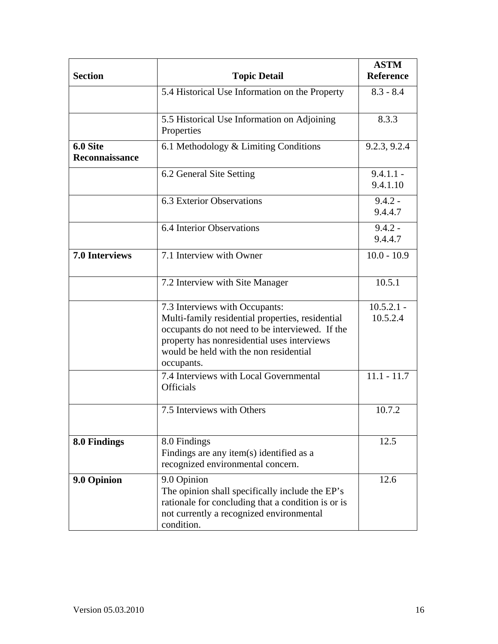| <b>Section</b>             | <b>Topic Detail</b>                                                                                                                                                                                                                          | <b>ASTM</b><br><b>Reference</b> |
|----------------------------|----------------------------------------------------------------------------------------------------------------------------------------------------------------------------------------------------------------------------------------------|---------------------------------|
|                            | 5.4 Historical Use Information on the Property                                                                                                                                                                                               | $8.3 - 8.4$                     |
|                            | 5.5 Historical Use Information on Adjoining<br>Properties                                                                                                                                                                                    | 8.3.3                           |
| 6.0 Site<br>Reconnaissance | 6.1 Methodology & Limiting Conditions                                                                                                                                                                                                        | 9.2.3, 9.2.4                    |
|                            | 6.2 General Site Setting                                                                                                                                                                                                                     | $9.4.1.1 -$<br>9.4.1.10         |
|                            | 6.3 Exterior Observations                                                                                                                                                                                                                    | $9.4.2 -$<br>9.4.4.7            |
|                            | 6.4 Interior Observations                                                                                                                                                                                                                    | $9.4.2 -$<br>9.4.4.7            |
| <b>7.0 Interviews</b>      | 7.1 Interview with Owner                                                                                                                                                                                                                     | $10.0 - 10.9$                   |
|                            | 7.2 Interview with Site Manager                                                                                                                                                                                                              | 10.5.1                          |
|                            | 7.3 Interviews with Occupants:<br>Multi-family residential properties, residential<br>occupants do not need to be interviewed. If the<br>property has nonresidential uses interviews<br>would be held with the non residential<br>occupants. | $10.5.2.1 -$<br>10.5.2.4        |
|                            | 7.4 Interviews with Local Governmental<br><b>Officials</b>                                                                                                                                                                                   | $11.1 - 11.7$                   |
|                            | 7.5 Interviews with Others                                                                                                                                                                                                                   | 10.7.2                          |
| 8.0 Findings               | 8.0 Findings<br>Findings are any item(s) identified as a<br>recognized environmental concern.                                                                                                                                                | 12.5                            |
| 9.0 Opinion                | 9.0 Opinion<br>The opinion shall specifically include the EP's<br>rationale for concluding that a condition is or is<br>not currently a recognized environmental<br>condition.                                                               | 12.6                            |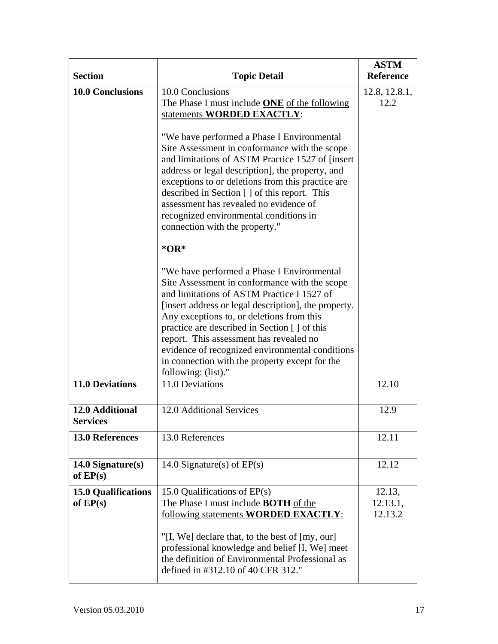| <b>Section</b>                           | <b>Topic Detail</b>                                                                                                                                                                                                                                                                                                                                                                                                                                                    | <b>ASTM</b><br><b>Reference</b> |
|------------------------------------------|------------------------------------------------------------------------------------------------------------------------------------------------------------------------------------------------------------------------------------------------------------------------------------------------------------------------------------------------------------------------------------------------------------------------------------------------------------------------|---------------------------------|
| <b>10.0 Conclusions</b>                  | 10.0 Conclusions<br>The Phase I must include <b>ONE</b> of the following<br>statements WORDED EXACTLY:                                                                                                                                                                                                                                                                                                                                                                 | 12.8, 12.8.1,<br>12.2           |
|                                          | "We have performed a Phase I Environmental<br>Site Assessment in conformance with the scope<br>and limitations of ASTM Practice 1527 of [insert]<br>address or legal description], the property, and<br>exceptions to or deletions from this practice are<br>described in Section [] of this report. This<br>assessment has revealed no evidence of<br>recognized environmental conditions in<br>connection with the property."<br>$*OR*$                              |                                 |
|                                          | "We have performed a Phase I Environmental<br>Site Assessment in conformance with the scope<br>and limitations of ASTM Practice I 1527 of<br>[insert address or legal description], the property.<br>Any exceptions to, or deletions from this<br>practice are described in Section [ ] of this<br>report. This assessment has revealed no<br>evidence of recognized environmental conditions<br>in connection with the property except for the<br>following: (list)." |                                 |
| <b>11.0 Deviations</b>                   | 11.0 Deviations                                                                                                                                                                                                                                                                                                                                                                                                                                                        | 12.10                           |
| 12.0 Additional<br><b>Services</b>       | 12.0 Additional Services                                                                                                                                                                                                                                                                                                                                                                                                                                               | 12.9                            |
| <b>13.0 References</b>                   | 13.0 References                                                                                                                                                                                                                                                                                                                                                                                                                                                        | 12.11                           |
| $14.0$ Signature(s)<br>of $EP(s)$        | 14.0 Signature(s) of $EP(s)$                                                                                                                                                                                                                                                                                                                                                                                                                                           | 12.12                           |
| <b>15.0 Qualifications</b><br>of $EP(s)$ | 15.0 Qualifications of $EP(s)$<br>The Phase I must include <b>BOTH</b> of the<br>following statements <b>WORDED EXACTLY</b> :<br>"[I, We] declare that, to the best of [my, our]<br>professional knowledge and belief [I, We] meet<br>the definition of Environmental Professional as<br>defined in #312.10 of 40 CFR 312."                                                                                                                                            | 12.13,<br>12.13.1,<br>12.13.2   |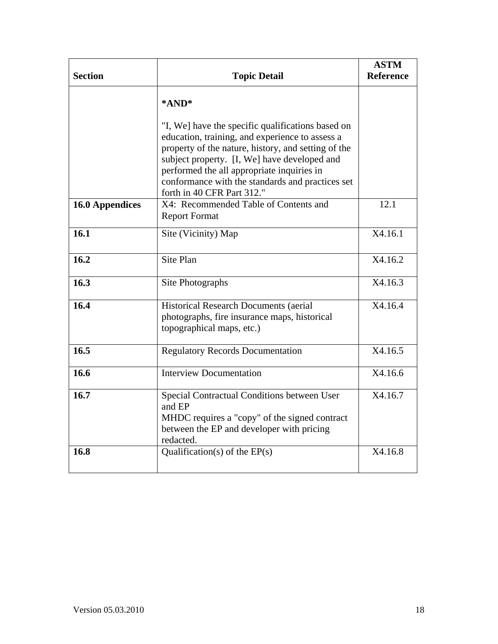|                        |                                                                                                                                                                                                                                                           | <b>ASTM</b>      |
|------------------------|-----------------------------------------------------------------------------------------------------------------------------------------------------------------------------------------------------------------------------------------------------------|------------------|
| <b>Section</b>         | <b>Topic Detail</b>                                                                                                                                                                                                                                       | <b>Reference</b> |
|                        | *AND*                                                                                                                                                                                                                                                     |                  |
|                        | "I, We] have the specific qualifications based on<br>education, training, and experience to assess a<br>property of the nature, history, and setting of the<br>subject property. [I, We] have developed and<br>performed the all appropriate inquiries in |                  |
|                        | conformance with the standards and practices set<br>forth in 40 CFR Part 312."                                                                                                                                                                            |                  |
| <b>16.0 Appendices</b> | X4: Recommended Table of Contents and<br><b>Report Format</b>                                                                                                                                                                                             | 12.1             |
| 16.1                   | Site (Vicinity) Map                                                                                                                                                                                                                                       | X4.16.1          |
| 16.2                   | Site Plan                                                                                                                                                                                                                                                 | X4.16.2          |
| 16.3                   | Site Photographs                                                                                                                                                                                                                                          | X4.16.3          |
| 16.4                   | Historical Research Documents (aerial<br>photographs, fire insurance maps, historical<br>topographical maps, etc.)                                                                                                                                        | X4.16.4          |
| 16.5                   | <b>Regulatory Records Documentation</b>                                                                                                                                                                                                                   | X4.16.5          |
| 16.6                   | <b>Interview Documentation</b>                                                                                                                                                                                                                            | X4.16.6          |
| 16.7                   | Special Contractual Conditions between User<br>and EP<br>MHDC requires a "copy" of the signed contract<br>between the EP and developer with pricing<br>redacted.                                                                                          | X4.16.7          |
| 16.8                   | Qualification(s) of the $EP(s)$                                                                                                                                                                                                                           | X4.16.8          |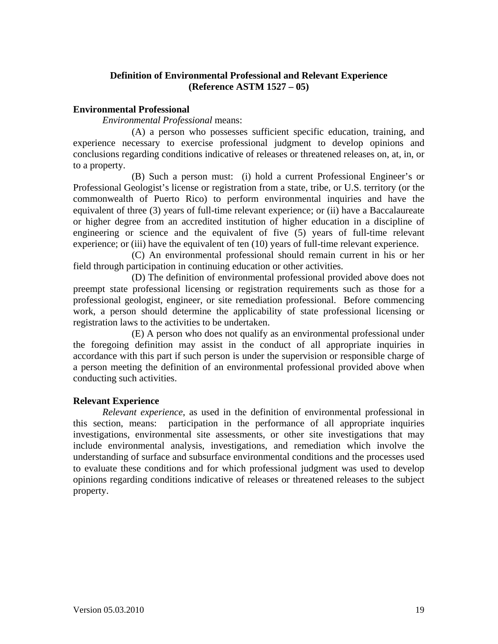#### **Definition of Environmental Professional and Relevant Experience (Reference ASTM 1527 – 05)**

#### **Environmental Professional**

*Environmental Professional* means:

 (A) a person who possesses sufficient specific education, training, and experience necessary to exercise professional judgment to develop opinions and conclusions regarding conditions indicative of releases or threatened releases on, at, in, or to a property.

 (B) Such a person must: (i) hold a current Professional Engineer's or Professional Geologist's license or registration from a state, tribe, or U.S. territory (or the commonwealth of Puerto Rico) to perform environmental inquiries and have the equivalent of three (3) years of full-time relevant experience; or (ii) have a Baccalaureate or higher degree from an accredited institution of higher education in a discipline of engineering or science and the equivalent of five (5) years of full-time relevant experience; or (iii) have the equivalent of ten (10) years of full-time relevant experience.

(C) An environmental professional should remain current in his or her field through participation in continuing education or other activities.

 (D) The definition of environmental professional provided above does not preempt state professional licensing or registration requirements such as those for a professional geologist, engineer, or site remediation professional. Before commencing work, a person should determine the applicability of state professional licensing or registration laws to the activities to be undertaken.

 (E) A person who does not qualify as an environmental professional under the foregoing definition may assist in the conduct of all appropriate inquiries in accordance with this part if such person is under the supervision or responsible charge of a person meeting the definition of an environmental professional provided above when conducting such activities.

#### **Relevant Experience**

*Relevant experience*, as used in the definition of environmental professional in this section, means: participation in the performance of all appropriate inquiries investigations, environmental site assessments, or other site investigations that may include environmental analysis, investigations, and remediation which involve the understanding of surface and subsurface environmental conditions and the processes used to evaluate these conditions and for which professional judgment was used to develop opinions regarding conditions indicative of releases or threatened releases to the subject property.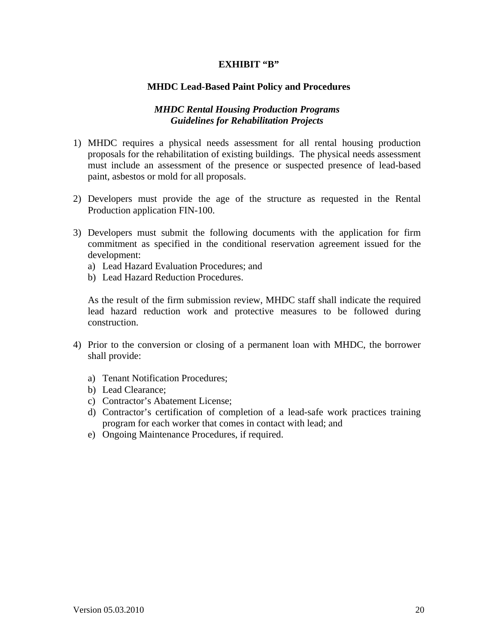#### **MHDC Lead-Based Paint Policy and Procedures**

#### *MHDC Rental Housing Production Programs Guidelines for Rehabilitation Projects*

- 1) MHDC requires a physical needs assessment for all rental housing production proposals for the rehabilitation of existing buildings. The physical needs assessment must include an assessment of the presence or suspected presence of lead-based paint, asbestos or mold for all proposals.
- 2) Developers must provide the age of the structure as requested in the Rental Production application FIN-100.
- 3) Developers must submit the following documents with the application for firm commitment as specified in the conditional reservation agreement issued for the development:
	- a) Lead Hazard Evaluation Procedures; and
	- b) Lead Hazard Reduction Procedures.

As the result of the firm submission review, MHDC staff shall indicate the required lead hazard reduction work and protective measures to be followed during construction.

- 4) Prior to the conversion or closing of a permanent loan with MHDC, the borrower shall provide:
	- a) Tenant Notification Procedures;
	- b) Lead Clearance;
	- c) Contractor's Abatement License;
	- d) Contractor's certification of completion of a lead-safe work practices training program for each worker that comes in contact with lead; and
	- e) Ongoing Maintenance Procedures, if required.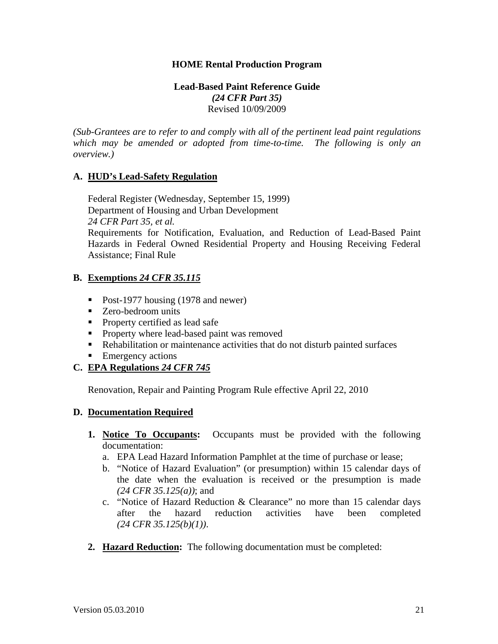#### **HOME Rental Production Program**

#### **Lead-Based Paint Reference Guide**  *(24 CFR Part 35)*  Revised 10/09/2009

*(Sub-Grantees are to refer to and comply with all of the pertinent lead paint regulations which may be amended or adopted from time-to-time. The following is only an overview.)* 

#### **A. HUD's Lead-Safety Regulation**

 Federal Register (Wednesday, September 15, 1999) Department of Housing and Urban Development  *24 CFR Part 35, et al.*  Requirements for Notification, Evaluation, and Reduction of Lead-Based Paint Hazards in Federal Owned Residential Property and Housing Receiving Federal Assistance; Final Rule

#### **B. Exemptions** *24 CFR 35.115*

- Post-1977 housing (1978 and newer)
- Zero-bedroom units
- **Property certified as lead safe**
- **Property where lead-based paint was removed**
- Rehabilitation or maintenance activities that do not disturb painted surfaces
- **Emergency actions**

### **C. EPA Regulations** *24 CFR 745*

Renovation, Repair and Painting Program Rule effective April 22, 2010

#### **D. Documentation Required**

- **1. Notice To Occupants:** Occupants must be provided with the following documentation:
	- a. EPA Lead Hazard Information Pamphlet at the time of purchase or lease;
	- b. "Notice of Hazard Evaluation" (or presumption) within 15 calendar days of the date when the evaluation is received or the presumption is made *(24 CFR 35.125(a))*; and
	- c. "Notice of Hazard Reduction & Clearance" no more than 15 calendar days after the hazard reduction activities have been completed *(24 CFR 35.125(b)(1))*.
- **2. Hazard Reduction:** The following documentation must be completed: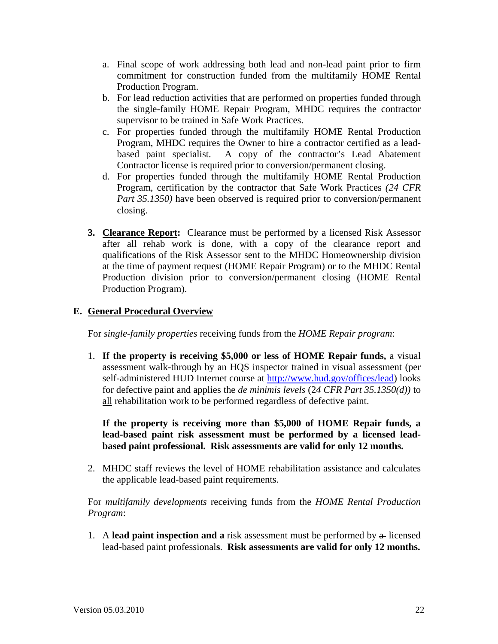- a. Final scope of work addressing both lead and non-lead paint prior to firm commitment for construction funded from the multifamily HOME Rental Production Program.
- b. For lead reduction activities that are performed on properties funded through the single-family HOME Repair Program, MHDC requires the contractor supervisor to be trained in Safe Work Practices.
- c. For properties funded through the multifamily HOME Rental Production Program, MHDC requires the Owner to hire a contractor certified as a leadbased paint specialist. A copy of the contractor's Lead Abatement Contractor license is required prior to conversion/permanent closing.
- d. For properties funded through the multifamily HOME Rental Production Program, certification by the contractor that Safe Work Practices *(24 CFR Part 35.1350)* have been observed is required prior to conversion/permanent closing.
- **3. Clearance Report:** Clearance must be performed by a licensed Risk Assessor after all rehab work is done, with a copy of the clearance report and qualifications of the Risk Assessor sent to the MHDC Homeownership division at the time of payment request (HOME Repair Program) or to the MHDC Rental Production division prior to conversion/permanent closing (HOME Rental Production Program).

### **E. General Procedural Overview**

For *single-family properties* receiving funds from the *HOME Repair program*:

1. **If the property is receiving \$5,000 or less of HOME Repair funds,** a visual assessment walk-through by an HQS inspector trained in visual assessment (per self-administered HUD Internet course at http://www.hud.gov/offices/lead) looks for defective paint and applies the *de minimis levels* (2*4 CFR Part 35.1350(d))* to all rehabilitation work to be performed regardless of defective paint.

**If the property is receiving more than \$5,000 of HOME Repair funds, a lead-based paint risk assessment must be performed by a licensed leadbased paint professional. Risk assessments are valid for only 12 months.** 

2. MHDC staff reviews the level of HOME rehabilitation assistance and calculates the applicable lead-based paint requirements.

 For *multifamily developments* receiving funds from the *HOME Rental Production Program*:

1. A **lead paint inspection and a** risk assessment must be performed by a licensed lead-based paint professional**s**. **Risk assessments are valid for only 12 months.**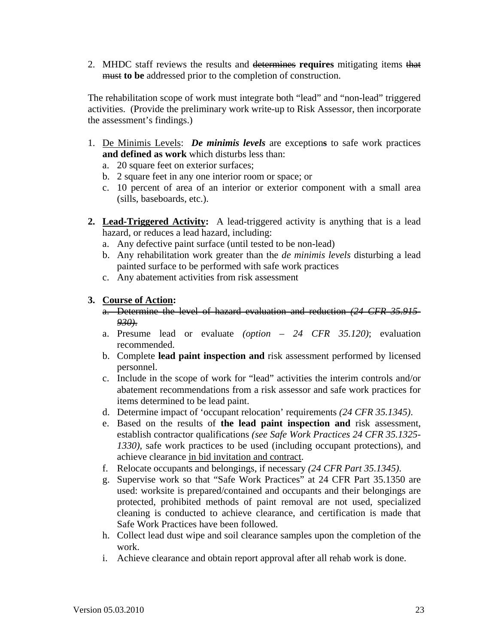2. MHDC staff reviews the results and determines **requires** mitigating items that must **to be** addressed prior to the completion of construction.

 The rehabilitation scope of work must integrate both "lead" and "non-lead" triggered activities. (Provide the preliminary work write-up to Risk Assessor, then incorporate the assessment's findings.)

- 1. De Minimis Levels: *De minimis levels* are exception**s** to safe work practices **and defined as work** which disturbs less than:
	- a. 20 square feet on exterior surfaces;
	- b. 2 square feet in any one interior room or space; or
	- c. 10 percent of area of an interior or exterior component with a small area (sills, baseboards, etc.).
- **2. Lead-Triggered Activity:** A lead-triggered activity is anything that is a lead hazard, or reduces a lead hazard, including:
	- a. Any defective paint surface (until tested to be non-lead)
	- b. Any rehabilitation work greater than the *de minimis levels* disturbing a lead painted surface to be performed with safe work practices
	- c. Any abatement activities from risk assessment

#### **3. Course of Action:**

- a. Determine the level of hazard evaluation and reduction *(24 CFR 35.915- 930)*.
- a. Presume lead or evaluate *(option 24 CFR 35.120)*; evaluation recommended.
- b. Complete **lead paint inspection and** risk assessment performed by licensed personnel.
- c. Include in the scope of work for "lead" activities the interim controls and/or abatement recommendations from a risk assessor and safe work practices for items determined to be lead paint.
- d. Determine impact of 'occupant relocation' requirements *(24 CFR 35.1345)*.
- e. Based on the results of **the lead paint inspection and** risk assessment, establish contractor qualifications *(see Safe Work Practices 24 CFR 35.1325- 1330),* safe work practices to be used (including occupant protections), and achieve clearance in bid invitation and contract.
- f. Relocate occupants and belongings, if necessary *(24 CFR Part 35.1345)*.
- g. Supervise work so that "Safe Work Practices" at 24 CFR Part 35.1350 are used: worksite is prepared/contained and occupants and their belongings are protected, prohibited methods of paint removal are not used, specialized cleaning is conducted to achieve clearance, and certification is made that Safe Work Practices have been followed.
- h. Collect lead dust wipe and soil clearance samples upon the completion of the work.
- i. Achieve clearance and obtain report approval after all rehab work is done.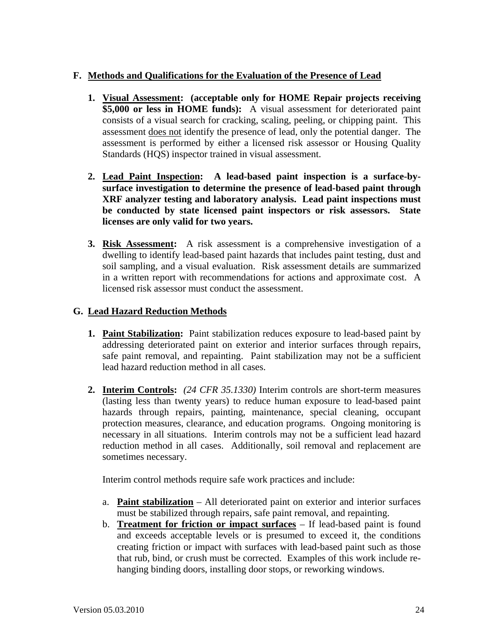#### **F. Methods and Qualifications for the Evaluation of the Presence of Lead**

- **1. Visual Assessment: (acceptable only for HOME Repair projects receiving \$5,000 or less in HOME funds):** A visual assessment for deteriorated paint consists of a visual search for cracking, scaling, peeling, or chipping paint. This assessment does not identify the presence of lead, only the potential danger. The assessment is performed by either a licensed risk assessor or Housing Quality Standards (HQS) inspector trained in visual assessment.
- **2. Lead Paint Inspection: A lead-based paint inspection is a surface-bysurface investigation to determine the presence of lead-based paint through XRF analyzer testing and laboratory analysis. Lead paint inspections must be conducted by state licensed paint inspectors or risk assessors. State licenses are only valid for two years.**
- **3. Risk Assessment:** A risk assessment is a comprehensive investigation of a dwelling to identify lead-based paint hazards that includes paint testing, dust and soil sampling, and a visual evaluation. Risk assessment details are summarized in a written report with recommendations for actions and approximate cost. A licensed risk assessor must conduct the assessment.

#### **G. Lead Hazard Reduction Methods**

- **1. Paint Stabilization:** Paint stabilization reduces exposure to lead-based paint by addressing deteriorated paint on exterior and interior surfaces through repairs, safe paint removal, and repainting. Paint stabilization may not be a sufficient lead hazard reduction method in all cases.
- **2. Interim Controls:** *(24 CFR 35.1330)* Interim controls are short-term measures (lasting less than twenty years) to reduce human exposure to lead-based paint hazards through repairs, painting, maintenance, special cleaning, occupant protection measures, clearance, and education programs. Ongoing monitoring is necessary in all situations. Interim controls may not be a sufficient lead hazard reduction method in all cases. Additionally, soil removal and replacement are sometimes necessary.

Interim control methods require safe work practices and include:

- a. **Paint stabilization** All deteriorated paint on exterior and interior surfaces must be stabilized through repairs, safe paint removal, and repainting.
- b. **Treatment for friction or impact surfaces** If lead-based paint is found and exceeds acceptable levels or is presumed to exceed it, the conditions creating friction or impact with surfaces with lead-based paint such as those that rub, bind, or crush must be corrected. Examples of this work include rehanging binding doors, installing door stops, or reworking windows.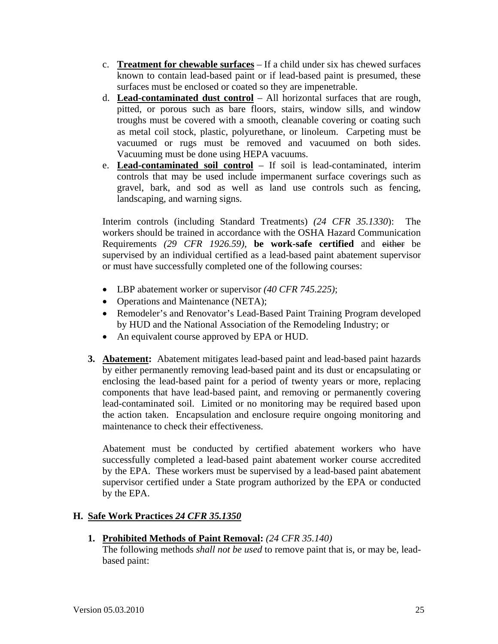- c. **Treatment for chewable surfaces** If a child under six has chewed surfaces known to contain lead-based paint or if lead-based paint is presumed, these surfaces must be enclosed or coated so they are impenetrable.
- d. **Lead-contaminated dust control** All horizontal surfaces that are rough, pitted, or porous such as bare floors, stairs, window sills, and window troughs must be covered with a smooth, cleanable covering or coating such as metal coil stock, plastic, polyurethane, or linoleum. Carpeting must be vacuumed or rugs must be removed and vacuumed on both sides. Vacuuming must be done using HEPA vacuums.
- e. **Lead-contaminated soil control** If soil is lead-contaminated, interim controls that may be used include impermanent surface coverings such as gravel, bark, and sod as well as land use controls such as fencing, landscaping, and warning signs.

Interim controls (including Standard Treatments) *(24 CFR 35.1330*): The workers should be trained in accordance with the OSHA Hazard Communication Requirements *(29 CFR 1926.59)*, **be work-safe certified** and either be supervised by an individual certified as a lead-based paint abatement supervisor or must have successfully completed one of the following courses:

- LBP abatement worker or supervisor *(40 CFR 745.225)*;
- Operations and Maintenance (NETA);
- Remodeler's and Renovator's Lead-Based Paint Training Program developed by HUD and the National Association of the Remodeling Industry; or
- An equivalent course approved by EPA or HUD.
- **3. Abatement:** Abatement mitigates lead-based paint and lead-based paint hazards by either permanently removing lead-based paint and its dust or encapsulating or enclosing the lead-based paint for a period of twenty years or more, replacing components that have lead-based paint, and removing or permanently covering lead-contaminated soil. Limited or no monitoring may be required based upon the action taken. Encapsulation and enclosure require ongoing monitoring and maintenance to check their effectiveness.

 Abatement must be conducted by certified abatement workers who have successfully completed a lead-based paint abatement worker course accredited by the EPA. These workers must be supervised by a lead-based paint abatement supervisor certified under a State program authorized by the EPA or conducted by the EPA.

#### **H. Safe Work Practices** *24 CFR 35.1350*

**1. Prohibited Methods of Paint Removal:** *(24 CFR 35.140)*

 The following methods *shall not be used* to remove paint that is, or may be, leadbased paint: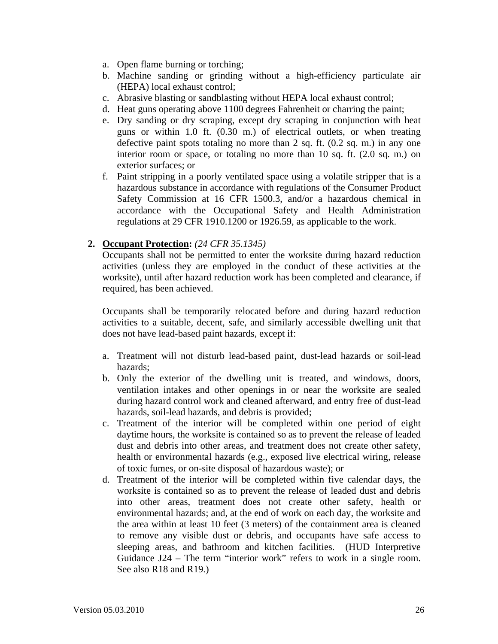- a. Open flame burning or torching;
- b. Machine sanding or grinding without a high-efficiency particulate air (HEPA) local exhaust control;
- c. Abrasive blasting or sandblasting without HEPA local exhaust control;
- d. Heat guns operating above 1100 degrees Fahrenheit or charring the paint;
- e. Dry sanding or dry scraping, except dry scraping in conjunction with heat guns or within 1.0 ft. (0.30 m.) of electrical outlets, or when treating defective paint spots totaling no more than 2 sq. ft. (0.2 sq. m.) in any one interior room or space, or totaling no more than 10 sq. ft. (2.0 sq. m.) on exterior surfaces; or
- f. Paint stripping in a poorly ventilated space using a volatile stripper that is a hazardous substance in accordance with regulations of the Consumer Product Safety Commission at 16 CFR 1500.3, and/or a hazardous chemical in accordance with the Occupational Safety and Health Administration regulations at 29 CFR 1910.1200 or 1926.59, as applicable to the work.

#### **2. Occupant Protection:** *(24 CFR 35.1345)*

Occupants shall not be permitted to enter the worksite during hazard reduction activities (unless they are employed in the conduct of these activities at the worksite), until after hazard reduction work has been completed and clearance, if required, has been achieved.

Occupants shall be temporarily relocated before and during hazard reduction activities to a suitable, decent, safe, and similarly accessible dwelling unit that does not have lead-based paint hazards, except if:

- a. Treatment will not disturb lead-based paint, dust-lead hazards or soil-lead hazards;
- b. Only the exterior of the dwelling unit is treated, and windows, doors, ventilation intakes and other openings in or near the worksite are sealed during hazard control work and cleaned afterward, and entry free of dust-lead hazards, soil-lead hazards, and debris is provided;
- c. Treatment of the interior will be completed within one period of eight daytime hours, the worksite is contained so as to prevent the release of leaded dust and debris into other areas, and treatment does not create other safety, health or environmental hazards (e.g., exposed live electrical wiring, release of toxic fumes, or on-site disposal of hazardous waste); or
- d. Treatment of the interior will be completed within five calendar days, the worksite is contained so as to prevent the release of leaded dust and debris into other areas, treatment does not create other safety, health or environmental hazards; and, at the end of work on each day, the worksite and the area within at least 10 feet (3 meters) of the containment area is cleaned to remove any visible dust or debris, and occupants have safe access to sleeping areas, and bathroom and kitchen facilities. (HUD Interpretive Guidance J24 – The term "interior work" refers to work in a single room. See also R18 and R19.)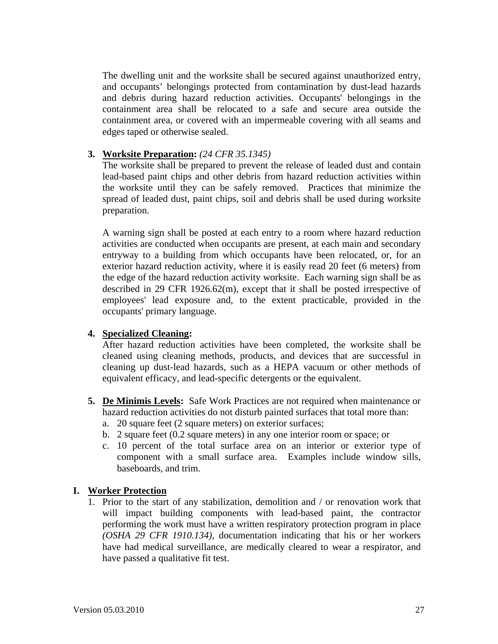The dwelling unit and the worksite shall be secured against unauthorized entry, and occupants' belongings protected from contamination by dust-lead hazards and debris during hazard reduction activities. Occupants' belongings in the containment area shall be relocated to a safe and secure area outside the containment area, or covered with an impermeable covering with all seams and edges taped or otherwise sealed.

#### **3. Worksite Preparation:** *(24 CFR 35.1345)*

 The worksite shall be prepared to prevent the release of leaded dust and contain lead-based paint chips and other debris from hazard reduction activities within the worksite until they can be safely removed. Practices that minimize the spread of leaded dust, paint chips, soil and debris shall be used during worksite preparation.

 A warning sign shall be posted at each entry to a room where hazard reduction activities are conducted when occupants are present, at each main and secondary entryway to a building from which occupants have been relocated, or, for an exterior hazard reduction activity, where it is easily read 20 feet (6 meters) from the edge of the hazard reduction activity worksite. Each warning sign shall be as described in 29 CFR 1926.62(m), except that it shall be posted irrespective of employees' lead exposure and, to the extent practicable, provided in the occupants' primary language.

#### **4. Specialized Cleaning:**

 After hazard reduction activities have been completed, the worksite shall be cleaned using cleaning methods, products, and devices that are successful in cleaning up dust-lead hazards, such as a HEPA vacuum or other methods of equivalent efficacy, and lead-specific detergents or the equivalent.

- **5. De Minimis Levels:** Safe Work Practices are not required when maintenance or hazard reduction activities do not disturb painted surfaces that total more than:
	- a. 20 square feet (2 square meters) on exterior surfaces;
	- b. 2 square feet (0.2 square meters) in any one interior room or space; or
	- c. 10 percent of the total surface area on an interior or exterior type of component with a small surface area. Examples include window sills, baseboards, and trim.

#### **I. Worker Protection**

 1. Prior to the start of any stabilization, demolition and / or renovation work that will impact building components with lead-based paint, the contractor performing the work must have a written respiratory protection program in place *(OSHA 29 CFR 1910.134)*, documentation indicating that his or her workers have had medical surveillance, are medically cleared to wear a respirator, and have passed a qualitative fit test.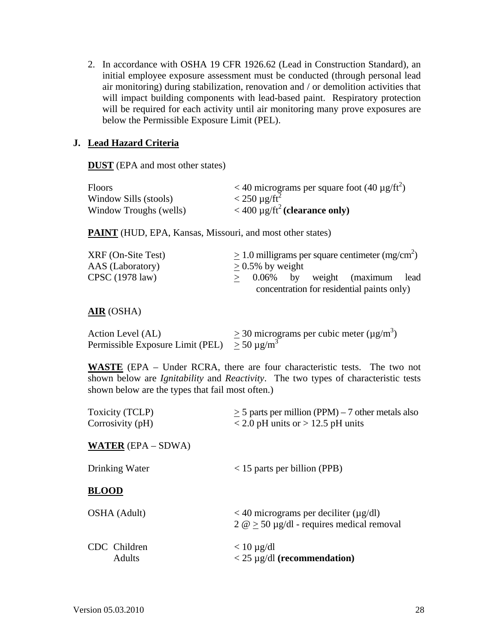2. In accordance with OSHA 19 CFR 1926.62 (Lead in Construction Standard), an initial employee exposure assessment must be conducted (through personal lead air monitoring) during stabilization, renovation and / or demolition activities that will impact building components with lead-based paint. Respiratory protection will be required for each activity until air monitoring many prove exposures are below the Permissible Exposure Limit (PEL).

#### **J. Lead Hazard Criteria**

**DUST** (EPA and most other states)

| <b>Floors</b>          | $<$ 40 micrograms per square foot (40 $\mu$ g/ft <sup>2</sup> ) |
|------------------------|-----------------------------------------------------------------|
| Window Sills (stools)  | $<$ 250 µg/ft <sup>2</sup>                                      |
| Window Troughs (wells) | $<$ 400 $\mu$ g/ft <sup>2</sup> (clearance only)                |

**PAINT** (HUD, EPA, Kansas, Missouri, and most other states)

| XRF (On-Site Test)        | $> 1.0$ milligrams per square centimeter (mg/cm <sup>2</sup> ) |
|---------------------------|----------------------------------------------------------------|
| AAS (Laboratory)          | $> 0.5\%$ by weight                                            |
| CPSC $(1978 \text{ law})$ | $> 0.06\%$ by weight (maximum lead                             |
|                           | concentration for residential paints only)                     |

#### **AIR** (OSHA)

| Action Level (AL)                                 | $\geq$ 30 micrograms per cubic meter ( $\mu$ g/m <sup>3</sup> ) |
|---------------------------------------------------|-----------------------------------------------------------------|
| Permissible Exposure Limit (PEL) $> 50 \mu g/m^3$ |                                                                 |

**WASTE** (EPA – Under RCRA, there are four characteristic tests. The two not shown below are *Ignitability* and *Reactivity*. The two types of characteristic tests shown below are the types that fail most often.)

| Toxicity (TCLP)<br>Corrosivity (pH) | $\geq$ 5 parts per million (PPM) – 7 other metals also<br>$\langle 2.0 \text{ pH} \rangle$ units or $> 12.5 \text{ pH}$ units |
|-------------------------------------|-------------------------------------------------------------------------------------------------------------------------------|
| <b>WATER</b> $(EPA - SDWA)$         |                                                                                                                               |
| Drinking Water                      | $<$ 15 parts per billion (PPB)                                                                                                |
| <b>BLOOD</b>                        |                                                                                                                               |
| OSHA (Adult)                        | $<$ 40 micrograms per deciliter ( $\mu$ g/dl)<br>$2 \omega > 50 \mu g/dl$ - requires medical removal                          |
| CDC Children<br>Adults              | $< 10 \mu$ g/dl<br>$<$ 25 µg/dl (recommendation)                                                                              |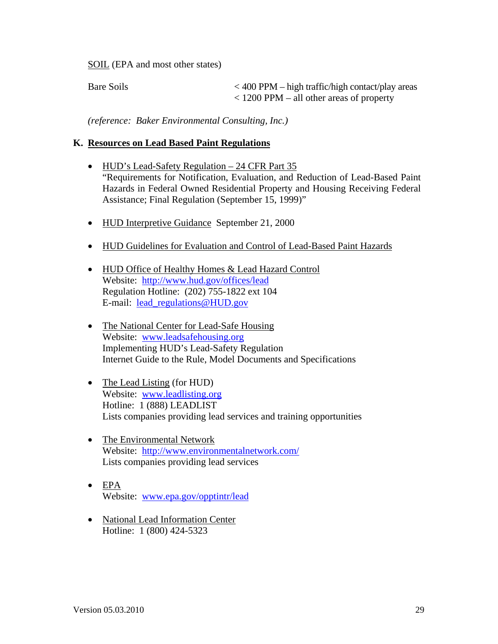SOIL (EPA and most other states)

Bare Soils  $< 400$  PPM – high traffic/high contact/play areas < 1200 PPM – all other areas of property

*(reference: Baker Environmental Consulting, Inc.)* 

#### **K. Resources on Lead Based Paint Regulations**

- HUD's Lead-Safety Regulation 24 CFR Part 35 "Requirements for Notification, Evaluation, and Reduction of Lead-Based Paint Hazards in Federal Owned Residential Property and Housing Receiving Federal Assistance; Final Regulation (September 15, 1999)"
- HUD Interpretive Guidance September 21, 2000
- HUD Guidelines for Evaluation and Control of Lead-Based Paint Hazards
- HUD Office of Healthy Homes & Lead Hazard Control Website: http://www.hud.gov/offices/lead Regulation Hotline: (202) 755-1822 ext 104 E-mail: lead\_regulations@HUD.gov
- The National Center for Lead-Safe Housing Website: www.leadsafehousing.org Implementing HUD's Lead-Safety Regulation Internet Guide to the Rule, Model Documents and Specifications
- The Lead Listing (for HUD) Website: www.leadlisting.org Hotline: 1 (888) LEADLIST Lists companies providing lead services and training opportunities
- The Environmental Network Website: http://www.environmentalnetwork.com/ Lists companies providing lead services
- $\bullet$  EPA Website: www.epa.gov/opptintr/lead
- National Lead Information Center Hotline: 1 (800) 424-5323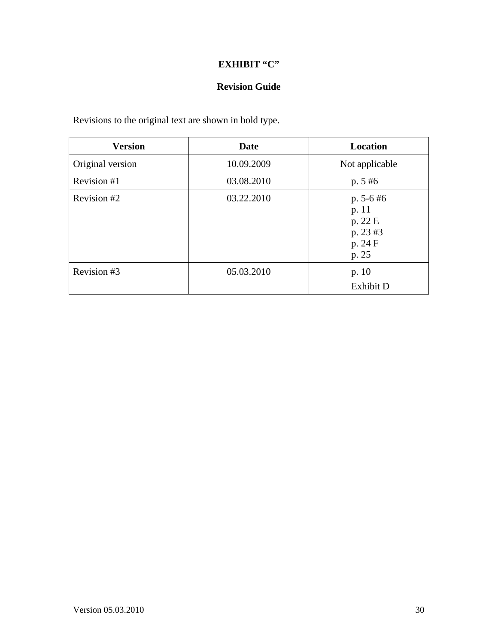## **Revision Guide**

Revisions to the original text are shown in bold type.

| <b>Version</b>   | Date       | Location                                                         |
|------------------|------------|------------------------------------------------------------------|
| Original version | 10.09.2009 | Not applicable                                                   |
| Revision #1      | 03.08.2010 | $p. 5 \#6$                                                       |
| Revision #2      | 03.22.2010 | $p. 5-6 \#6$<br>p. 11<br>p. 22 E<br>p. 23 #3<br>p. 24 F<br>p. 25 |
| Revision #3      | 05.03.2010 | p. 10<br>Exhibit D                                               |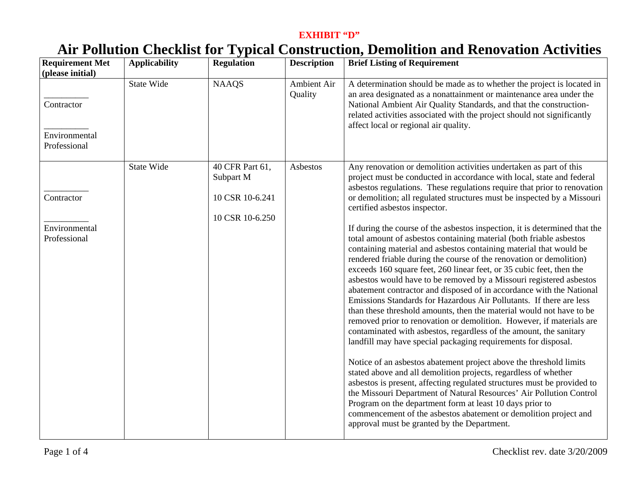# **Air Pollution Checklist for Typical Construction, Demolition and Renovation Activities**

| <b>Requirement Met</b><br>(please initial)  | <b>Applicability</b> | <b>Regulation</b>                                                  | <b>Description</b>     | <b>Brief Listing of Requirement</b>                                                                                                                                                                                                                                                                                                                                                                                                                                                                                                                                                                                                                                                                                                                                                                                                                                                                                                                                                                                                                                                                                                                                                                                                                                                                                                                                                                                                                                                                                                                                                                                                                                                                   |
|---------------------------------------------|----------------------|--------------------------------------------------------------------|------------------------|-------------------------------------------------------------------------------------------------------------------------------------------------------------------------------------------------------------------------------------------------------------------------------------------------------------------------------------------------------------------------------------------------------------------------------------------------------------------------------------------------------------------------------------------------------------------------------------------------------------------------------------------------------------------------------------------------------------------------------------------------------------------------------------------------------------------------------------------------------------------------------------------------------------------------------------------------------------------------------------------------------------------------------------------------------------------------------------------------------------------------------------------------------------------------------------------------------------------------------------------------------------------------------------------------------------------------------------------------------------------------------------------------------------------------------------------------------------------------------------------------------------------------------------------------------------------------------------------------------------------------------------------------------------------------------------------------------|
| Contractor<br>Environmental<br>Professional | <b>State Wide</b>    | <b>NAAQS</b>                                                       | Ambient Air<br>Quality | A determination should be made as to whether the project is located in<br>an area designated as a nonattainment or maintenance area under the<br>National Ambient Air Quality Standards, and that the construction-<br>related activities associated with the project should not significantly<br>affect local or regional air quality.                                                                                                                                                                                                                                                                                                                                                                                                                                                                                                                                                                                                                                                                                                                                                                                                                                                                                                                                                                                                                                                                                                                                                                                                                                                                                                                                                               |
| Contractor<br>Environmental<br>Professional | State Wide           | 40 CFR Part 61,<br>Subpart M<br>10 CSR 10-6.241<br>10 CSR 10-6.250 | Asbestos               | Any renovation or demolition activities undertaken as part of this<br>project must be conducted in accordance with local, state and federal<br>asbestos regulations. These regulations require that prior to renovation<br>or demolition; all regulated structures must be inspected by a Missouri<br>certified asbestos inspector.<br>If during the course of the asbestos inspection, it is determined that the<br>total amount of asbestos containing material (both friable asbestos<br>containing material and asbestos containing material that would be<br>rendered friable during the course of the renovation or demolition)<br>exceeds 160 square feet, 260 linear feet, or 35 cubic feet, then the<br>asbestos would have to be removed by a Missouri registered asbestos<br>abatement contractor and disposed of in accordance with the National<br>Emissions Standards for Hazardous Air Pollutants. If there are less<br>than these threshold amounts, then the material would not have to be<br>removed prior to renovation or demolition. However, if materials are<br>contaminated with asbestos, regardless of the amount, the sanitary<br>landfill may have special packaging requirements for disposal.<br>Notice of an asbestos abatement project above the threshold limits<br>stated above and all demolition projects, regardless of whether<br>asbestos is present, affecting regulated structures must be provided to<br>the Missouri Department of Natural Resources' Air Pollution Control<br>Program on the department form at least 10 days prior to<br>commencement of the asbestos abatement or demolition project and<br>approval must be granted by the Department. |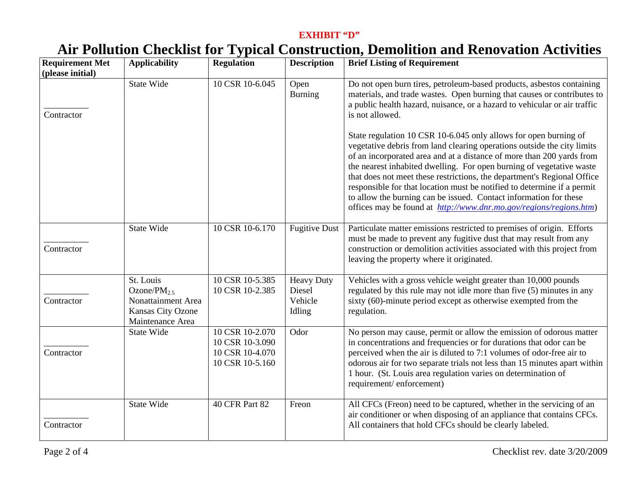# **Air Pollution Checklist for Typical Construction, Demolition and Renovation Activities**

| <b>Requirement Met</b><br>(please initial) | <b>Applicability</b>                                                                          | <b>Regulation</b>                                                        | <b>Description</b>                               | <b>Brief Listing of Requirement</b>                                                                                                                                                                                                                                                                                                                                                                                                                                                                                                                                                           |
|--------------------------------------------|-----------------------------------------------------------------------------------------------|--------------------------------------------------------------------------|--------------------------------------------------|-----------------------------------------------------------------------------------------------------------------------------------------------------------------------------------------------------------------------------------------------------------------------------------------------------------------------------------------------------------------------------------------------------------------------------------------------------------------------------------------------------------------------------------------------------------------------------------------------|
| Contractor                                 | <b>State Wide</b>                                                                             | 10 CSR 10-6.045                                                          | Open<br><b>Burning</b>                           | Do not open burn tires, petroleum-based products, asbestos containing<br>materials, and trade wastes. Open burning that causes or contributes to<br>a public health hazard, nuisance, or a hazard to vehicular or air traffic<br>is not allowed.                                                                                                                                                                                                                                                                                                                                              |
|                                            |                                                                                               |                                                                          |                                                  | State regulation 10 CSR 10-6.045 only allows for open burning of<br>vegetative debris from land clearing operations outside the city limits<br>of an incorporated area and at a distance of more than 200 yards from<br>the nearest inhabited dwelling. For open burning of vegetative waste<br>that does not meet these restrictions, the department's Regional Office<br>responsible for that location must be notified to determine if a permit<br>to allow the burning can be issued. Contact information for these<br>offices may be found at http://www.dnr.mo.gov/regions/regions.htm) |
| Contractor                                 | <b>State Wide</b>                                                                             | 10 CSR 10-6.170                                                          | <b>Fugitive Dust</b>                             | Particulate matter emissions restricted to premises of origin. Efforts<br>must be made to prevent any fugitive dust that may result from any<br>construction or demolition activities associated with this project from<br>leaving the property where it originated.                                                                                                                                                                                                                                                                                                                          |
| Contractor                                 | St. Louis<br>Ozone/ $PM_{2.5}$<br>Nonattainment Area<br>Kansas City Ozone<br>Maintenance Area | 10 CSR 10-5.385<br>10 CSR 10-2.385                                       | <b>Heavy Duty</b><br>Diesel<br>Vehicle<br>Idling | Vehicles with a gross vehicle weight greater than $10,000$ pounds<br>regulated by this rule may not idle more than five (5) minutes in any<br>sixty (60)-minute period except as otherwise exempted from the<br>regulation.                                                                                                                                                                                                                                                                                                                                                                   |
| Contractor                                 | <b>State Wide</b>                                                                             | 10 CSR 10-2.070<br>10 CSR 10-3.090<br>10 CSR 10-4.070<br>10 CSR 10-5.160 | Odor                                             | No person may cause, permit or allow the emission of odorous matter<br>in concentrations and frequencies or for durations that odor can be<br>perceived when the air is diluted to 7:1 volumes of odor-free air to<br>odorous air for two separate trials not less than 15 minutes apart within<br>1 hour. (St. Louis area regulation varies on determination of<br>requirement/enforcement)                                                                                                                                                                                                  |
| Contractor                                 | <b>State Wide</b>                                                                             | 40 CFR Part 82                                                           | Freon                                            | All CFCs (Freon) need to be captured, whether in the servicing of an<br>air conditioner or when disposing of an appliance that contains CFCs.<br>All containers that hold CFCs should be clearly labeled.                                                                                                                                                                                                                                                                                                                                                                                     |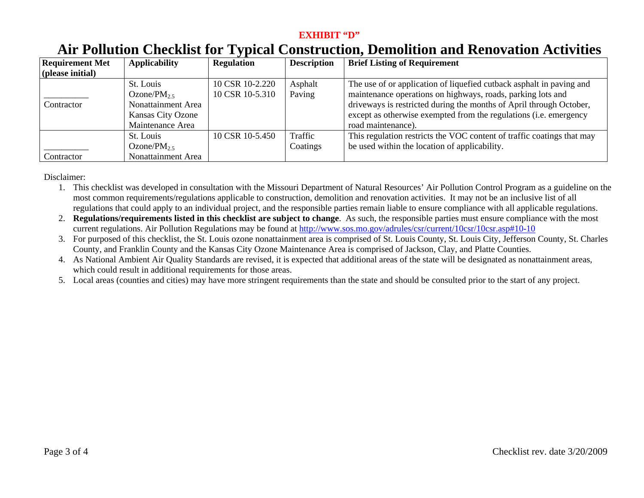## **Air Pollution Checklist for Typical Construction, Demolition and Renovation Activities**

| <b>Requirement Met</b> | <b>Applicability</b>      | <b>Regulation</b> | <b>Description</b> | <b>Brief Listing of Requirement</b>                                       |
|------------------------|---------------------------|-------------------|--------------------|---------------------------------------------------------------------------|
| (please initial)       |                           |                   |                    |                                                                           |
|                        | St. Louis                 | 10 CSR 10-2.220   | Asphalt            | The use of or application of liquefied cutback asphalt in paving and      |
|                        | Ozone/P $M2.5$            | 10 CSR 10-5.310   | Paving             | maintenance operations on highways, roads, parking lots and               |
| Contractor             | <b>Nonattainment Area</b> |                   |                    | driveways is restricted during the months of April through October,       |
|                        | Kansas City Ozone         |                   |                    | except as otherwise exempted from the regulations ( <i>i.e.</i> emergency |
|                        | Maintenance Area          |                   |                    | road maintenance).                                                        |
|                        | St. Louis                 | 10 CSR 10-5.450   | Traffic            | This regulation restricts the VOC content of traffic coatings that may    |
|                        | Ozone/ $PM_{2.5}$         |                   | Coatings           | be used within the location of applicability.                             |
| Contractor             | Nonattainment Area        |                   |                    |                                                                           |

Disclaimer:

- 1. This checklist was developed in consultation with the Missouri Department of Natural Resources' Air Pollution Control Program as a guideline on the most common requirements/regulations applicable to construction, demolition and renovation activities. It may not be an inclusive list of all regulations that could apply to an individual project, and the responsible parties remain liable to ensure compliance with all applicable regulations.
- 2. **Regulations/requirements listed in this checklist are subject to change**. As such, the responsible parties must ensure compliance with the most current regulations. Air Pollution Regulations may be found at http://www.sos.mo.gov/adrules/csr/current/10csr/10csr.asp#10-10
- 3. For purposed of this checklist, the St. Louis ozone nonattainment area is comprised of St. Louis County, St. Louis City, Jefferson County, St. Charles County, and Franklin County and the Kansas City Ozone Maintenance Area is comprised of Jackson, Clay, and Platte Counties.
- 4. As National Ambient Air Quality Standards are revised, it is expected that additional areas of the state will be designated as nonattainment areas, which could result in additional requirements for those areas.
- 5. Local areas (counties and cities) may have more stringent requirements than the state and should be consulted prior to the start of any project.